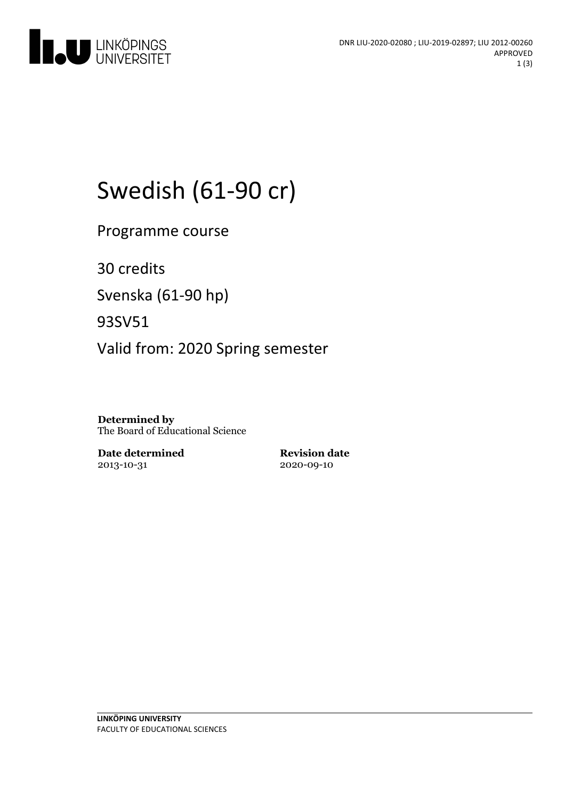

# Swedish (61-90 cr)

Programme course

30 credits

Svenska(61-90 hp)

93SV51

Valid from: 2020 Spring semester

**Determined by** The Board of Educational Science

**Date determined** 2013-10-31

**Revision date** 2020-09-10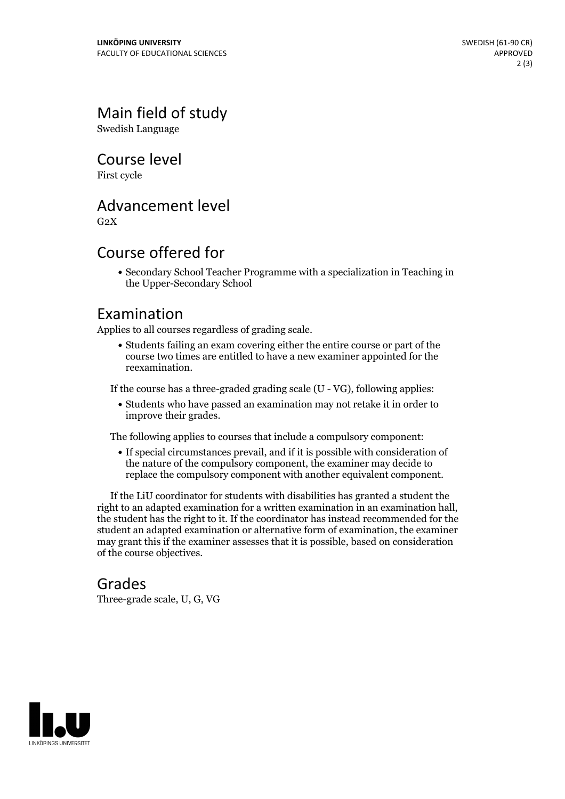## Main field of study

Swedish Language

Course level

First cycle

#### Advancement level

 $G<sub>2</sub>X$ 

#### Course offered for

Secondary School Teacher Programme with a specialization in Teaching in the Upper-Secondary School

#### Examination

Applies to all courses regardless of grading scale.

Students failing an exam covering either the entire course or part of the course two times are entitled to have a new examiner appointed for the reexamination.

If the course has a three-graded grading scale (U - VG), following applies:

Students who have passed an examination may not retake it in order to improve their grades.

The following applies to courses that include a compulsory component:

If special circumstances prevail, and if it is possible with consideration of the nature of the compulsory component, the examiner may decide to replace the compulsory component with another equivalent component.

If the LiU coordinator for students with disabilities has granted a student the right to an adapted examination for <sup>a</sup> written examination in an examination hall, the student has the right to it. If the coordinator has instead recommended for the student an adapted examination or alternative form of examination, the examiner may grant this if the examiner assesses that it is possible, based on consideration of the course objectives.

#### Grades

Three-grade scale, U, G, VG